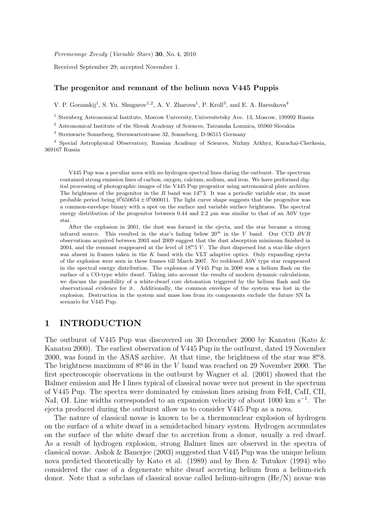Peremennye Zvezdy (Variable Stars) 30, No. 4, 2010

Received September 29; accepted November 1.

#### The progenitor and remnant of the helium nova V445 Puppis

V. P. Goranskij<sup>1</sup>, S. Yu. Shugarov<sup>1,2</sup>, A. V. Zharova<sup>1</sup>, P. Kroll<sup>3</sup>, and E. A. Barsukova<sup>4</sup>

<sup>1</sup> Sternberg Astronomical Institute, Moscow University, Universitetsky Ave. 13, Moscow, 199992 Russia

<sup>2</sup> Astronomical Institute of the Slovak Academy of Sciences, Tatranska Lomnica, 05960 Slovakia

<sup>3</sup> Sternwarte Sonneberg, Sternwartestrasse 32, Sonneberg, D-96515 Germany

<sup>4</sup> Special Astrophysical Observatory, Russian Academy of Sciences, Nizhny Arkhyz, Karachai-Cherkesia, 369167 Russia

V445 Pup was a peculiar nova with no hydrogen spectral lines during the outburst. The spectrum contained strong emission lines of carbon, oxygen, calcium, sodium, and iron. We have performed digital processing of photographic images of the V445 Pup progenitor using astronomical plate archives. The brightness of the progenitor in the  $B$  band was  $14<sup>m</sup>3$ . It was a periodic variable star, its most probable period being  $0.016564 \pm 0.000011$ . The light curve shape suggests that the progenitor was a common-envelope binary with a spot on the surface and variable surface brightness. The spectral energy distribution of the progenitor between  $0.44$  and  $2.2 \mu m$  was similar to that of an A0V type star.

After the explosion in 2001, the dust was formed in the ejecta, and the star became a strong infrared source. This resulted in the star's fading below  $20^{\mathrm{m}}$  in the V band. Our CCD  $BVR$ observations acquired between 2003 and 2009 suggest that the dust absorption minimum finished in 2004, and the remnant reappeared at the level of  $18<sup>m</sup>5 V$ . The dust dispersed but a star-like object was absent in frames taken in the  $K$  band with the VLT adaptive optics. Only expanding ejecta of the explosion were seen in these frames till March 2007. No reddened A0V type star reappeared in the spectral energy distribution. The explosion of V445 Pup in 2000 was a helium flash on the surface of a CO-type white dwarf. Taking into account the results of modern dynamic calculations, we discuss the possibility of a white-dwarf core detonation triggered by the helium flash and the observational evidence for it. Additionally, the common envelope of the system was lost in the explosion. Destruction in the system and mass loss from its components exclude the future SN Ia scenario for V445 Pup.

### 1 INTRODUCTION

The outburst of V445 Pup was discovered on 30 December 2000 by Kanatsu (Kato & Kanatsu 2000). The earliest observation of V445 Pup in the outburst, dated 19 November 2000, was found in the ASAS archive. At that time, the brightness of the star was  $8.8$ . The brightness maximum of  $8<sup>m</sup>46$  in the V band was reached on 29 November 2000. The first spectroscopic observations in the outburst by Wagner et al. (2001) showed that the Balmer emission and He I lines typical of classical novae were not present in the spectrum of V445 Pup. The spectra were dominated by emission lines arising from FeII, CaII, CII, NaI, OI. Line widths corresponded to an expansion velocity of about 1000 km s<sup>-1</sup>. The ejecta produced during the outburst allow us to consider V445 Pup as a nova.

The nature of classical novae is known to be a thermonuclear explosion of hydrogen on the surface of a white dwarf in a semidetached binary system. Hydrogen accumulates on the surface of the white dwarf due to accretion from a donor, usually a red dwarf. As a result of hydrogen explosion, strong Balmer lines are observed in the spectra of classical novae. Ashok & Banerjee (2003) suggested that V445 Pup was the unique helium nova predicted theoretically by Kato et al. (1989) and by Iben & Tutukov (1994) who considered the case of a degenerate white dwarf accreting helium from a helium-rich donor. Note that a subclass of classical novae called helium-nitrogen (He/N) novae was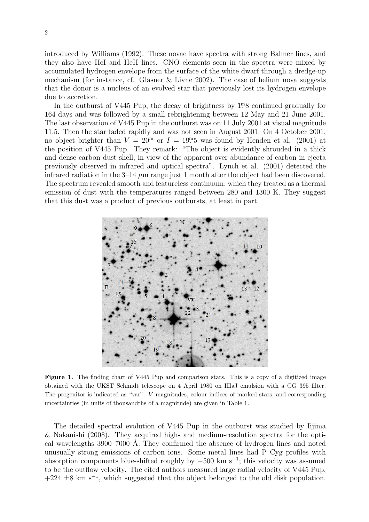introduced by Williams (1992). These novae have spectra with strong Balmer lines, and they also have HeI and HeII lines. CNO elements seen in the spectra were mixed by accumulated hydrogen envelope from the surface of the white dwarf through a dredge-up mechanism (for instance, cf. Glasner & Livne 2002). The case of helium nova suggests that the donor is a nucleus of an evolved star that previously lost its hydrogen envelope due to accretion.

In the outburst of V445 Pup, the decay of brightness by  $1<sup>m</sup>8$  continued gradually for 164 days and was followed by a small rebrightening between 12 May and 21 June 2001. The last observation of V445 Pup in the outburst was on 11 July 2001 at visual magnitude 11.5. Then the star faded rapidly and was not seen in August 2001. On 4 October 2001, no object brighter than  $V = 20^{\text{m}}$  or  $I = 19^{\text{m}}5$  was found by Henden et al. (2001) at the position of V445 Pup. They remark: "The object is evidently shrouded in a thick and dense carbon dust shell, in view of the apparent over-abundance of carbon in ejecta previously observed in infrared and optical spectra". Lynch et al. (2001) detected the infrared radiation in the  $3-14 \mu m$  range just 1 month after the object had been discovered. The spectrum revealed smooth and featureless continuum, which they treated as a thermal emission of dust with the temperatures ranged between 280 and 1300 K. They suggest that this dust was a product of previous outbursts, at least in part.



Figure 1. The finding chart of V445 Pup and comparison stars. This is a copy of a digitized image obtained with the UKST Schmidt telescope on 4 April 1980 on IIIaJ emulsion with a GG 395 filter. The progenitor is indicated as "var". V magnitudes, colour indices of marked stars, and corresponding uncertainties (in units of thousandths of a magnitude) are given in Table 1.

The detailed spectral evolution of V445 Pup in the outburst was studied by Iijima & Nakanishi (2008). They acquired high- and medium-resolution spectra for the optical wavelengths 3900–7000 Å. They confirmed the absence of hydrogen lines and noted unusually strong emissions of carbon ions. Some metal lines had P Cyg profiles with absorption components blue-shifted roughly by  $-500 \text{ km s}^{-1}$ ; this velocity was assumed to be the outflow velocity. The cited authors measured large radial velocity of V445 Pup,  $+224 \pm 8$  km s<sup>-1</sup>, which suggested that the object belonged to the old disk population.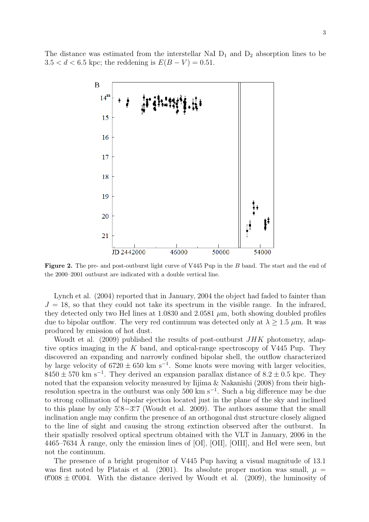The distance was estimated from the interstellar NaI  $D_1$  and  $D_2$  absorption lines to be  $3.5 < d < 6.5$  kpc; the reddening is  $E(B - V) = 0.51$ .



Figure 2. The pre- and post-outburst light curve of V445 Pup in the B band. The start and the end of the 2000–2001 outburst are indicated with a double vertical line.

Lynch et al. (2004) reported that in January, 2004 the object had faded to fainter than  $J = 18$ , so that they could not take its spectrum in the visible range. In the infrared, they detected only two HeI lines at 1.0830 and 2.0581  $\mu$ m, both showing doubled profiles due to bipolar outflow. The very red continuum was detected only at  $\lambda > 1.5 \mu$ m. It was produced by emission of hot dust.

Woudt et al. (2009) published the results of post-outburst  $JHK$  photometry, adaptive optics imaging in the K band, and optical-range spectroscopy of V445 Pup. They discovered an expanding and narrowly confined bipolar shell, the outflow characterized by large velocity of  $6720 \pm 650$  km s<sup>-1</sup>. Some knots were moving with larger velocities,  $8450 \pm 570$  km s<sup>-1</sup>. They derived an expansion parallax distance of  $8.2 \pm 0.5$  kpc. They noted that the expansion velocity measured by Iijima & Nakanishi (2008) from their highresolution spectra in the outburst was only 500 km s<sup>-1</sup>. Such a big difference may be due to strong collimation of bipolar ejection located just in the plane of the sky and inclined to this plane by only 5°.8−3°.7 (Woudt et al. 2009). The authors assume that the small inclination angle may confirm the presence of an orthogonal dust structure closely aligned to the line of sight and causing the strong extinction observed after the outburst. In their spatially resolved optical spectrum obtained with the VLT in January, 2006 in the 4465–7634 Å range, only the emission lines of [OI], [OII], [OIII], and HeI were seen, but not the continuum.

The presence of a bright progenitor of V445 Pup having a visual magnitude of 13.1 was first noted by Platais et al. (2001). Its absolute proper motion was small,  $\mu =$  $0''008 \pm 0''004$ . With the distance derived by Woudt et al. (2009), the luminosity of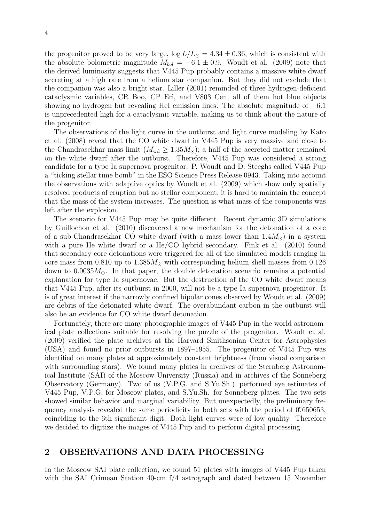the progenitor proved to be very large,  $\log L/L_{\odot} = 4.34 \pm 0.36$ , which is consistent with the absolute bolometric magnitude  $M_{bol} = -6.1 \pm 0.9$ . Woudt et al. (2009) note that the derived luminosity suggests that V445 Pup probably contains a massive white dwarf accreting at a high rate from a helium star companion. But they did not exclude that the companion was also a bright star. Liller (2001) reminded of three hydrogen-deficient cataclysmic variables, CR Boo, CP Eri, and V803 Cen, all of them hot blue objects showing no hydrogen but revealing HeI emission lines. The absolute magnitude of −6.1 is unprecedented high for a cataclysmic variable, making us to think about the nature of the progenitor.

The observations of the light curve in the outburst and light curve modeling by Kato et al. (2008) reveal that the CO white dwarf in V445 Pup is very massive and close to the Chandrasekhar mass limit  $(M_{wd} \ge 1.35 M_{\odot})$ ; a half of the accreted matter remained on the white dwarf after the outburst. Therefore, V445 Pup was considered a strong candidate for a type Ia supernova progenitor. P. Woudt and D. Steeghs called V445 Pup a "ticking stellar time bomb" in the ESO Science Press Release 0943. Taking into account the observations with adaptive optics by Woudt et al. (2009) which show only spatially resolved products of eruption but no stellar component, it is hard to maintain the concept that the mass of the system increases. The question is what mass of the components was left after the explosion.

The scenario for V445 Pup may be quite different. Recent dynamic 3D simulations by Guillochon et al. (2010) discovered a new mechanism for the detonation of a core of a sub-Chandrasekhar CO white dwarf (with a mass lower than  $1.4M_{\odot}$ ) in a system with a pure He white dwarf or a He/CO hybrid secondary. Fink et al. (2010) found that secondary core detonations were triggered for all of the simulated models ranging in core mass from 0.810 up to  $1.385M_{\odot}$  with corresponding helium shell masses from 0.126 down to  $0.0035M_{\odot}$ . In that paper, the double detonation scenario remains a potential explanation for type Ia supernovae. But the destruction of the CO white dwarf means that V445 Pup, after its outburst in 2000, will not be a type Ia supernova progenitor. It is of great interest if the narrowly confined bipolar cones observed by Woudt et al. (2009) are debris of the detonated white dwarf. The overabundant carbon in the outburst will also be an evidence for CO white dwarf detonation.

Fortunately, there are many photographic images of V445 Pup in the world astronomical plate collections suitable for resolving the puzzle of the progenitor. Woudt et al. (2009) verified the plate archives at the Harvard–Smithsonian Center for Astrophysics (USA) and found no prior outbursts in 1897–1955. The progenitor of V445 Pup was identified on many plates at approximately constant brightness (from visual comparison with surrounding stars). We found many plates in archives of the Sternberg Astronomical Institute (SAI) of the Moscow University (Russia) and in archives of the Sonneberg Observatory (Germany). Two of us (V.P.G. and S.Yu.Sh.) performed eye estimates of V445 Pup, V.P.G. for Moscow plates, and S.Yu.Sh. for Sonneberg plates. The two sets showed similar behavior and marginal variability. But unexpectedly, the preliminary frequency analysis revealed the same periodicity in both sets with the period of  $0^4$ 650653, coinciding to the 6th significant digit. Both light curves were of low quality. Therefore we decided to digitize the images of V445 Pup and to perform digital processing.

### 2 OBSERVATIONS AND DATA PROCESSING

In the Moscow SAI plate collection, we found 51 plates with images of V445 Pup taken with the SAI Crimean Station 40-cm f/4 astrograph and dated between 15 November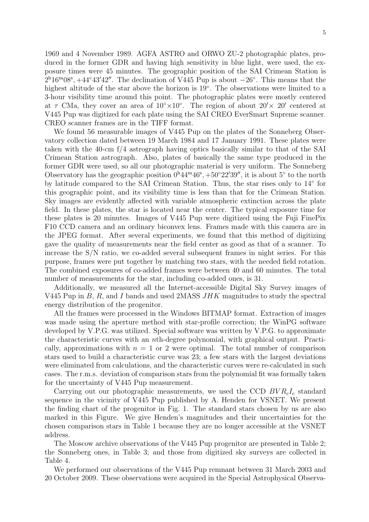1969 and 4 November 1989. AGFA ASTRO and ORWO ZU-2 photographic plates, produced in the former GDR and having high sensitivity in blue light, were used, the exposure times were 45 minutes. The geographic position of the SAI Crimean Station is  $2^{h}16^{m}08^{s}$ , +44°43′42″. The declination of V445 Pup is about  $-26^{\circ}$ . This means that the highest altitude of the star above the horizon is 19◦ . The observations were limited to a 3-hour visibility time around this point. The photographic plates were mostly centered at  $\tau$  CMa, they cover an area of  $10^{\circ} \times 10^{\circ}$ . The region of about  $20' \times 20'$  centered at V445 Pup was digitized for each plate using the SAI CREO EverSmart Supreme scanner. CREO scanner frames are in the TIFF format.

We found 56 measurable images of V445 Pup on the plates of the Sonneberg Observatory collection dated between 19 March 1984 and 17 January 1991. These plates were taken with the 40-cm f/4 astrograph having optics basically similar to that of the SAI Crimean Station astrograph. Also, plates of basically the same type produced in the former GDR were used, so all our photographic material is very uniform. The Sonneberg Observatory has the geographic position  $0^h44^m46^s$ ,  $+50°22'39''$ , it is about  $5°$  to the north by latitude compared to the SAI Crimean Station. Thus, the star rises only to 14<sup>°</sup> for this geographic point, and its visibility time is less than that for the Crimean Station. Sky images are evidently affected with variable atmospheric extinction across the plate field. In these plates, the star is located near the center. The typical exposure time for these plates is 20 minutes. Images of V445 Pup were digitized using the Fuji FinePix F10 CCD camera and an ordinary biconvex lens. Frames made with this camera are in the JPEG format. After several experiments, we found that this method of digitizing gave the quality of measurements near the field center as good as that of a scanner. To increase the S/N ratio, we co-added several subsequent frames in night series. For this purpose, frames were put together by matching two stars, with the needed field rotation. The combined exposures of co-added frames were between 40 and 60 minutes. The total number of measurements for the star, including co-added ones, is 31.

Additionally, we measured all the Internet-accessible Digital Sky Survey images of V445 Pup in  $B$ ,  $R$ , and I bands and used 2MASS  $JHK$  magnitudes to study the spectral energy distribution of the progenitor.

All the frames were processed in the Windows BITMAP format. Extraction of images was made using the aperture method with star-profile correction; the WinPG software developed by V.P.G. was utilized. Special software was written by V.P.G. to approximate the characteristic curves with an nth-degree polynomial, with graphical output. Practically, approximations with  $n = 1$  or 2 were optimal. The total number of comparison stars used to build a characteristic curve was 23; a few stars with the largest deviations were eliminated from calculations, and the characteristic curves were re-calculated in such cases. The r.m.s. deviation of comparison stars from the polynomial fit was formally taken for the uncertainty of V445 Pup measurement.

Carrying out our photographic measurements, we used the CCD  $BVR<sub>c</sub>I<sub>c</sub>$  standard sequence in the vicinity of V445 Pup published by A. Henden for VSNET. We present the finding chart of the progenitor in Fig. 1. The standard stars chosen by us are also marked in this Figure. We give Henden's magnitudes and their uncertainties for the chosen comparison stars in Table 1 because they are no longer accessible at the VSNET address.

The Moscow archive observations of the V445 Pup progenitor are presented in Table 2; the Sonneberg ones, in Table 3; and those from digitized sky surveys are collected in Table 4.

We performed our observations of the V445 Pup remnant between 31 March 2003 and 20 October 2009. These observations were acquired in the Special Astrophysical Observa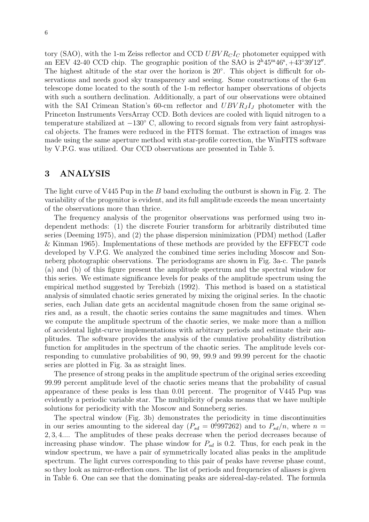tory (SAO), with the 1-m Zeiss reflector and CCD  $UBVR<sub>C</sub>I<sub>C</sub>$  photometer equipped with an EEV 42-40 CCD chip. The geographic position of the SAO is  $2^{\text{h}}45^{\text{m}}46^{\text{s}}$ ,  $+43^{\circ}39'12''$ . The highest altitude of the star over the horizon is 20°. This object is difficult for observations and needs good sky transparency and seeing. Some constructions of the 6-m telescope dome located to the south of the 1-m reflector hamper observations of objects with such a southern declination. Additionally, a part of our observations were obtained with the SAI Crimean Station's 60-cm reflector and  $UBVR_JI_J$  photometer with the Princeton Instruments VersArray CCD. Both devices are cooled with liquid nitrogen to a temperature stabilized at  $-130^{\circ}$  C, allowing to record signals from very faint astrophysical objects. The frames were reduced in the FITS format. The extraction of images was made using the same aperture method with star-profile correction, the WinFITS software by V.P.G. was utilized. Our CCD observations are presented in Table 5.

# 3 ANALYSIS

The light curve of V445 Pup in the B band excluding the outburst is shown in Fig. 2. The variability of the progenitor is evident, and its full amplitude exceeds the mean uncertainty of the observations more than thrice.

The frequency analysis of the progenitor observations was performed using two independent methods: (1) the discrete Fourier transform for arbitrarily distributed time series (Deeming 1975), and (2) the phase dispersion minimization (PDM) method (Lafler & Kinman 1965). Implementations of these methods are provided by the EFFECT code developed by V.P.G. We analyzed the combined time series including Moscow and Sonneberg photographic observations. The periodograms are shown in Fig. 3a-c. The panels (a) and (b) of this figure present the amplitude spectrum and the spectral window for this series. We estimate significance levels for peaks of the amplitude spectrum using the empirical method suggested by Terebizh (1992). This method is based on a statistical analysis of simulated chaotic series generated by mixing the original series. In the chaotic series, each Julian date gets an accidental magnitude chosen from the same original series and, as a result, the chaotic series contains the same magnitudes and times. When we compute the amplitude spectrum of the chaotic series, we make more than a million of accidental light-curve implementations with arbitrary periods and estimate their amplitudes. The software provides the analysis of the cumulative probability distribution function for amplitudes in the spectrum of the chaotic series. The amplitude levels corresponding to cumulative probabilities of 90, 99, 99.9 and 99.99 percent for the chaotic series are plotted in Fig. 3a as straight lines.

The presence of strong peaks in the amplitude spectrum of the original series exceeding 99.99 percent amplitude level of the chaotic series means that the probability of casual appearance of these peaks is less than 0.01 percent. The progenitor of V445 Pup was evidently a periodic variable star. The multiplicity of peaks means that we have multiple solutions for periodicity with the Moscow and Sonneberg series.

The spectral window (Fig. 3b) demonstrates the periodicity in time discontinuities in our series amounting to the sidereal day  $(P_{sd} = 0.997262)$  and to  $P_{sd}/n$ , where  $n =$ 2, 3, 4.... The amplitudes of these peaks decrease when the period decreases because of increasing phase window. The phase window for  $P_{sd}$  is 0.2. Thus, for each peak in the window spectrum, we have a pair of symmetrically located alias peaks in the amplitude spectrum. The light curves corresponding to this pair of peaks have reverse phase count, so they look as mirror-reflection ones. The list of periods and frequencies of aliases is given in Table 6. One can see that the dominating peaks are sidereal-day-related. The formula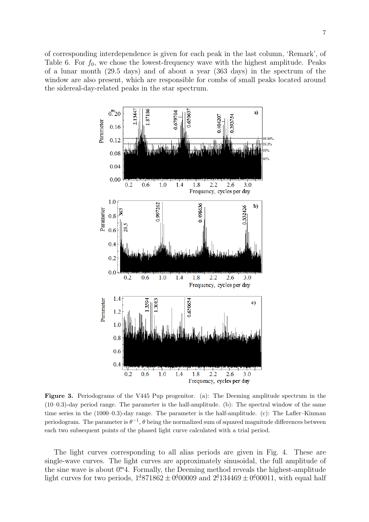of corresponding interdependence is given for each peak in the last column, 'Remark', of Table 6. For  $f_0$ , we chose the lowest-frequency wave with the highest amplitude. Peaks of a lunar month (29.5 days) and of about a year (363 days) in the spectrum of the window are also present, which are responsible for combs of small peaks located around the sidereal-day-related peaks in the star spectrum.



Figure 3. Periodograms of the V445 Pup progenitor. (a): The Deeming amplitude spectrum in the (10–0.3)-day period range. The parameter is the half-amplitude. (b): The spectral window of the same time series in the (1000–0.3)-day range. The parameter is the half-amplitude. (c): The Lafler–Kinman periodogram. The parameter is  $\theta^{-1}$ ,  $\theta$  being the normalized sum of squared magnitude differences between each two subsequent points of the phased light curve calculated with a trial period.

The light curves corresponding to all alias periods are given in Fig. 4. These are single-wave curves. The light curves are approximately sinusoidal, the full amplitude of the sine wave is about  $0^{m}4$ . Formally, the Deeming method reveals the highest-amplitude light curves for two periods,  $1^4871862 \pm 0^400009$  and  $2^4134469 \pm 0^400011$ , with equal half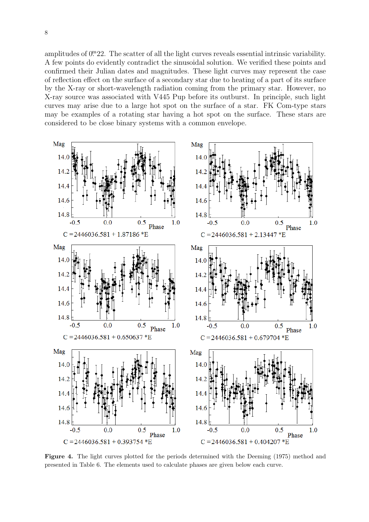amplitudes of  $0<sup>m</sup>22$ . The scatter of all the light curves reveals essential intrinsic variability. A few points do evidently contradict the sinusoidal solution. We verified these points and confirmed their Julian dates and magnitudes. These light curves may represent the case of reflection effect on the surface of a secondary star due to heating of a part of its surface by the X-ray or short-wavelength radiation coming from the primary star. However, no X-ray source was associated with V445 Pup before its outburst. In principle, such light curves may arise due to a large hot spot on the surface of a star. FK Com-type stars may be examples of a rotating star having a hot spot on the surface. These stars are considered to be close binary systems with a common envelope.



Figure 4. The light curves plotted for the periods determined with the Deeming (1975) method and presented in Table 6. The elements used to calculate phases are given below each curve.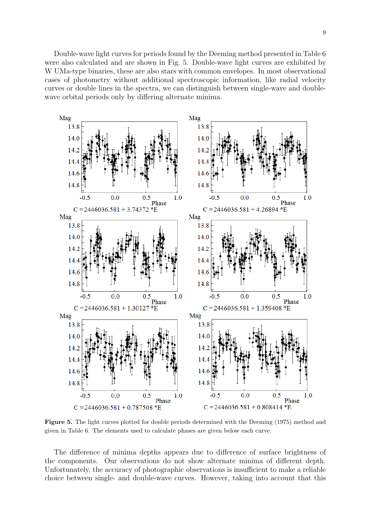Double-wave light curves for periods found by the Deeming method presented in Table 6 were also calculated and are shown in Fig. 5. Double-wave light curves are exhibited by W UMa-type binaries, these are also stars with common envelopes. In most observational cases of photometry without additional spectroscopic information, like radial velocity curves or double lines in the spectra, we can distinguish between single-wave and doublewave orbital periods only by differing alternate minima.



Figure 5. The light curves plotted for double periods determined with the Deeming (1975) method and given in Table 6. The elements used to calculate phases are given below each curve.

The difference of minima depths appears due to difference of surface brightness of the components. Our observations do not show alternate minima of different depth. Unfortunately, the accuracy of photographic observations is insufficient to make a reliable choice between single- and double-wave curves. However, taking into account that this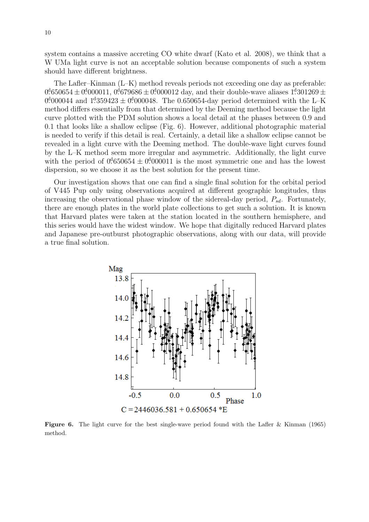system contains a massive accreting CO white dwarf (Kato et al. 2008), we think that a W UMa light curve is not an acceptable solution because components of such a system should have different brightness.

The Lafler–Kinman (L–K) method reveals periods not exceeding one day as preferable:  $0.01650654 \pm 0.01000011, 0.01679686 \pm 0.01000012$  day, and their double-wave aliases  $1.301269 \pm 0.0100001$ 0.000044 and  $1.359423 \pm 0.000048$ . The 0.650654-day period determined with the L-K method differs essentially from that determined by the Deeming method because the light curve plotted with the PDM solution shows a local detail at the phases between 0.9 and 0.1 that looks like a shallow eclipse (Fig. 6). However, additional photographic material is needed to verify if this detail is real. Certainly, a detail like a shallow eclipse cannot be revealed in a light curve with the Deeming method. The double-wave light curves found by the L–K method seem more irregular and asymmetric. Additionally, the light curve with the period of  $0.01650654 \pm 0.000011$  is the most symmetric one and has the lowest dispersion, so we choose it as the best solution for the present time.

Our investigation shows that one can find a single final solution for the orbital period of V445 Pup only using observations acquired at different geographic longitudes, thus increasing the observational phase window of the sidereal-day period,  $P_{sd}$ . Fortunately, there are enough plates in the world plate collections to get such a solution. It is known that Harvard plates were taken at the station located in the southern hemisphere, and this series would have the widest window. We hope that digitally reduced Harvard plates and Japanese pre-outburst photographic observations, along with our data, will provide a true final solution.



**Figure 6.** The light curve for the best single-wave period found with the Lafler & Kinman (1965) method.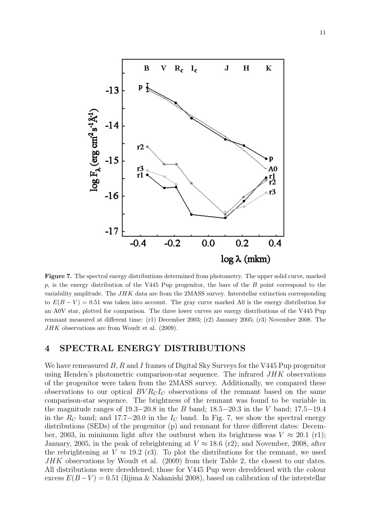

Figure 7. The spectral energy distributions determined from photometry. The upper solid curve, marked p, is the energy distribution of the V445 Pup progenitor, the bars of the  $B$  point correspond to the variability amplitude. The  $JHK$  data are from the 2MASS survey. Interstellar extinction corresponding to  $E(B - V) = 0.51$  was taken into account. The gray curve marked A0 is the energy distribution for an A0V star, plotted for comparison. The three lower curves are energy distributions of the V445 Pup remnant measured at different time: (r1) December 2003; (r2) January 2005; (r3) November 2008. The JHK observations are from Woudt et al. (2009).

## 4 SPECTRAL ENERGY DISTRIBUTIONS

We have remeasured  $B, R$  and I frames of Digital Sky Surveys for the V445 Pup progenitor using Henden's photometric comparison-star sequence. The infrared JHK observations of the progenitor were taken from the 2MASS survey. Additionally, we compared these observations to our optical  $BVR<sub>C</sub>I<sub>C</sub>$  observations of the remnant based on the same comparison-star sequence. The brightness of the remnant was found to be variable in the magnitude ranges of  $19.3-20.8$  in the B band;  $18.5-20.3$  in the V band;  $17.5-19.4$ in the  $R_C$  band; and 17.7–20.0 in the  $I_C$  band. In Fig. 7, we show the spectral energy distributions (SEDs) of the progenitor (p) and remnant for three different dates: December, 2003, in minimum light after the outburst when its brightness was  $V \approx 20.1$  (r1); January, 2005, in the peak of rebrightening at  $V \approx 18.6$  (r2); and November, 2008, after the rebrightening at  $V \approx 19.2$  (r3). To plot the distributions for the remnant, we used JHK observations by Woudt et al. (2009) from their Table 2, the closest to our dates. All distributions were dereddened; those for V445 Pup were dereddened with the colour excess  $E(B-V) = 0.51$  (Iijima & Nakanishi 2008), based on calibration of the interstellar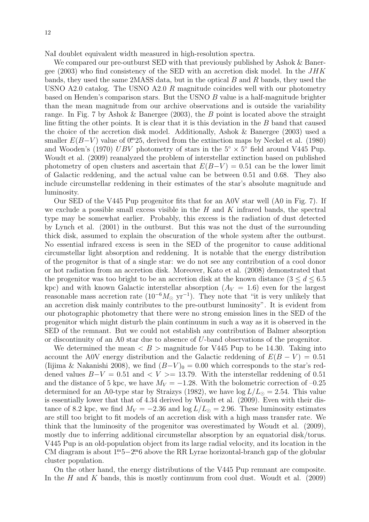NaI doublet equivalent width measured in high-resolution spectra.

We compared our pre-outburst SED with that previously published by Ashok & Banergee (2003) who find consistency of the SED with an accretion disk model. In the  $JHK$ bands, they used the same 2MASS data, but in the optical B and R bands, they used the USNO A2.0 catalog. The USNO A2.0 R magnitude coincides well with our photometry based on Henden's comparison stars. But the USNO B value is a half-magnitude brighter than the mean magnitude from our archive observations and is outside the variability range. In Fig. 7 by Ashok & Banergee (2003), the B point is located above the straight line fitting the other points. It is clear that it is this deviation in the B band that caused the choice of the accretion disk model. Additionally, Ashok & Banergee (2003) used a smaller  $E(B-V)$  value of 0<sup>no</sup>. derived from the extinction maps by Neckel et al. (1980) and Wooden's (1970) UBV photometry of stars in the  $5^{\circ} \times 5^{\circ}$  field around V445 Pup. Woudt et al. (2009) reanalyzed the problem of interstellar extinction based on published photometry of open clusters and ascertain that  $E(B-V) = 0.51$  can be the lower limit of Galactic reddening, and the actual value can be between 0.51 and 0.68. They also include circumstellar reddening in their estimates of the star's absolute magnitude and luminosity.

Our SED of the V445 Pup progenitor fits that for an A0V star well (A0 in Fig. 7). If we exclude a possible small excess visible in the  $H$  and  $K$  infrared bands, the spectral type may be somewhat earlier. Probably, this excess is the radiation of dust detected by Lynch et al. (2001) in the outburst. But this was not the dust of the surrounding thick disk, assumed to explain the obscuration of the whole system after the outburst. No essential infrared excess is seen in the SED of the progenitor to cause additional circumstellar light absorption and reddening. It is notable that the energy distribution of the progenitor is that of a single star: we do not see any contribution of a cool donor or hot radiation from an accretion disk. Moreover, Kato et al. (2008) demonstrated that the progenitor was too bright to be an accretion disk at the known distance  $(3 \leq d \leq 6.5)$ kpc) and with known Galactic interstellar absorption  $(A_V = 1.6)$  even for the largest reasonable mass accretion rate  $(10^{-6}M_{\odot} \text{ yr}^{-1})$ . They note that "it is very unlikely that an accretion disk mainly contributes to the pre-outburst luminosity". It is evident from our photographic photometry that there were no strong emission lines in the SED of the progenitor which might disturb the plain continuum in such a way as it is observed in the SED of the remnant. But we could not establish any contribution of Balmer absorption or discontinuity of an A0 star due to absence of U-band observations of the progenitor.

We determined the mean  $\langle B \rangle$  magnitude for V445 Pup to be 14.30. Taking into account the A0V energy distribution and the Galactic reddening of  $E(B - V) = 0.51$ (Iijima & Nakanishi 2008), we find  $(B-V)_0 = 0.00$  which corresponds to the star's reddened values  $B-V = 0.51$  and  $\lt V \gt 13.79$ . With the interstellar reddening of 0.51 and the distance of 5 kpc, we have  $M_V = -1.28$ . With the bolometric correction of –0.25 determined for an A0-type star by Straizys (1982), we have  $\log L/L_{\odot} = 2.54$ . This value is essentially lower that that of 4.34 derived by Woudt et al. (2009). Even with their distance of 8.2 kpc, we find  $M_V = -2.36$  and  $\log L/L_{\odot} = 2.96$ . These luminosity estimates are still too bright to fit models of an accretion disk with a high mass transfer rate. We think that the luminosity of the progenitor was overestimated by Woudt et al. (2009), mostly due to inferring additional circumstellar absorption by an equatorial disk/torus. V445 Pup is an old-population object from its large radial velocity, and its location in the CM diagram is about  $1^{\text{m}}5-2^{\text{m}}6$  above the RR Lyrae horizontal-branch gap of the globular cluster population.

On the other hand, the energy distributions of the V445 Pup remnant are composite. In the H and K bands, this is mostly continuum from cool dust. Woudt et al.  $(2009)$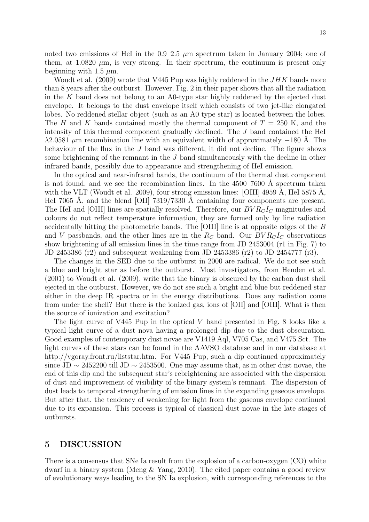noted two emissions of HeI in the  $0.9-2.5 \mu m$  spectrum taken in January 2004; one of them, at 1.0820  $\mu$ m, is very strong. In their spectrum, the continuum is present only beginning with 1.5  $\mu$ m.

Woudt et al. (2009) wrote that V445 Pup was highly reddened in the  $JHK$  bands more than 8 years after the outburst. However, Fig. 2 in their paper shows that all the radiation in the K band does not belong to an A0-type star highly reddened by the ejected dust envelope. It belongs to the dust envelope itself which consists of two jet-like elongated lobes. No reddened stellar object (such as an A0 type star) is located between the lobes. The H and K bands contained mostly the thermal component of  $T = 250$  K, and the intensity of this thermal component gradually declined. The J band contained the HeI  $\lambda$ 2.0581 µm recombination line with an equivalent width of approximately  $-180$  Å. The behaviour of the flux in the J band was different, it did not decline. The figure shows some brightening of the remnant in the J band simultaneously with the decline in other infrared bands, possibly due to appearance and strengthening of HeI emission.

In the optical and near-infrared bands, the continuum of the thermal dust component is not found, and we see the recombination lines. In the  $4500-7600$  Å spectrum taken with the VLT (Woudt et al. 2009), four strong emission lines: [OIII] 4959 A, HeI 5875 A, HeI 7065 Å, and the blend [OII] 7319/7330 Å containing four components are present. The HeI and [OIII] lines are spatially resolved. Therefore, our  $BVR<sub>C</sub>I<sub>C</sub>$  magnitudes and colours do not reflect temperature information, they are formed only by line radiation accidentally hitting the photometric bands. The [OIII] line is at opposite edges of the B and V passbands, and the other lines are in the  $R_C$  band. Our  $BVR_CI_C$  observations show brightening of all emission lines in the time range from JD 2453004 (r1 in Fig. 7) to JD 2453386 (r2) and subsequent weakening from JD 2453386 (r2) to JD 2454777 (r3).

The changes in the SED due to the outburst in 2000 are radical. We do not see such a blue and bright star as before the outburst. Most investigators, from Henden et al. (2001) to Woudt et al. (2009), write that the binary is obscured by the carbon dust shell ejected in the outburst. However, we do not see such a bright and blue but reddened star either in the deep IR spectra or in the energy distributions. Does any radiation come from under the shell? But there is the ionized gas, ions of [OII] and [OIII]. What is then the source of ionization and excitation?

The light curve of V445 Pup in the optical V band presented in Fig. 8 looks like a typical light curve of a dust nova having a prolonged dip due to the dust obscuration. Good examples of contemporary dust novae are V1419 Aql, V705 Cas, and V475 Sct. The light curves of these stars can be found in the AAVSO database and in our database at http://vgoray.front.ru/liststar.htm. For V445 Pup, such a dip continued approximately since JD  $\sim$  2452200 till JD  $\sim$  2453500. One may assume that, as in other dust novae, the end of this dip and the subsequent star's rebrightening are associated with the dispersion of dust and improvement of visibility of the binary system's remnant. The dispersion of dust leads to temporal strengthening of emission lines in the expanding gaseous envelope. But after that, the tendency of weakening for light from the gaseous envelope continued due to its expansion. This process is typical of classical dust novae in the late stages of outbursts.

# 5 DISCUSSION

There is a consensus that SNe Ia result from the explosion of a carbon-oxygen (CO) white dwarf in a binary system (Meng & Yang, 2010). The cited paper contains a good review of evolutionary ways leading to the SN Ia explosion, with corresponding references to the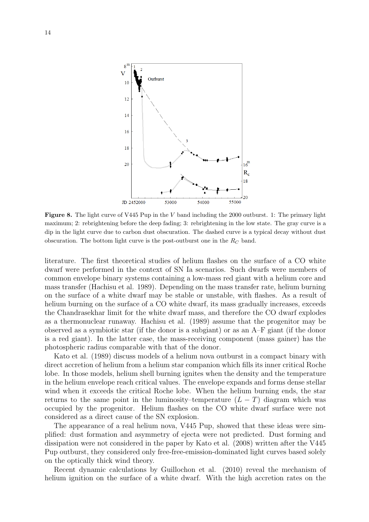

Figure 8. The light curve of V445 Pup in the V band including the 2000 outburst. 1: The primary light maximum; 2: rebrightening before the deep fading; 3: rebrightening in the low state. The gray curve is a dip in the light curve due to carbon dust obscuration. The dashed curve is a typical decay without dust obscuration. The bottom light curve is the post-outburst one in the  $R_C$  band.

literature. The first theoretical studies of helium flashes on the surface of a CO white dwarf were performed in the context of SN Ia scenarios. Such dwarfs were members of common envelope binary systems containing a low-mass red giant with a helium core and mass transfer (Hachisu et al. 1989). Depending on the mass transfer rate, helium burning on the surface of a white dwarf may be stable or unstable, with flashes. As a result of helium burning on the surface of a CO white dwarf, its mass gradually increases, exceeds the Chandrasekhar limit for the white dwarf mass, and therefore the CO dwarf explodes as a thermonuclear runaway. Hachisu et al. (1989) assume that the progenitor may be observed as a symbiotic star (if the donor is a subgiant) or as an A–F giant (if the donor is a red giant). In the latter case, the mass-receiving component (mass gainer) has the photospheric radius comparable with that of the donor.

Kato et al. (1989) discuss models of a helium nova outburst in a compact binary with direct accretion of helium from a helium star companion which fills its inner critical Roche lobe. In those models, helium shell burning ignites when the density and the temperature in the helium envelope reach critical values. The envelope expands and forms dense stellar wind when it exceeds the critical Roche lobe. When the helium burning ends, the star returns to the same point in the luminosity–temperature  $(L - T)$  diagram which was occupied by the progenitor. Helium flashes on the CO white dwarf surface were not considered as a direct cause of the SN explosion.

The appearance of a real helium nova, V445 Pup, showed that these ideas were simplified: dust formation and asymmetry of ejecta were not predicted. Dust forming and dissipation were not considered in the paper by Kato et al. (2008) written after the V445 Pup outburst, they considered only free-free-emission-dominated light curves based solely on the optically thick wind theory.

Recent dynamic calculations by Guillochon et al. (2010) reveal the mechanism of helium ignition on the surface of a white dwarf. With the high accretion rates on the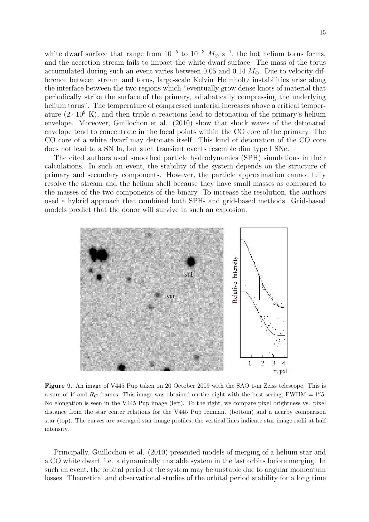white dwarf surface that range from  $10^{-5}$  to  $10^{-3}$   $M_{\odot}$  s<sup>-1</sup>, the hot helium torus forms, and the accretion stream fails to impact the white dwarf surface. The mass of the torus accumulated during such an event varies between 0.05 and 0.14  $M_{\odot}$ . Due to velocity difference between stream and torus, large-scale Kelvin–Helmholtz instabilities arise along the interface between the two regions which "eventually grow dense knots of material that periodically strike the surface of the primary, adiabatically compressing the underlying helium torus". The temperature of compressed material increases above a critical temperature  $(2 \cdot 10^9 \text{ K})$ , and then triple- $\alpha$  reactions lead to detonation of the primary's helium envelope. Moreover, Guillochon et al. (2010) show that shock waves of the detonated envelope tend to concentrate in the focal points within the CO core of the primary. The CO core of a white dwarf may detonate itself. This kind of detonation of the CO core does not lead to a SN Ia, but such transient events resemble dim type I SNe.

The cited authors used smoothed particle hydrodynamics (SPH) simulations in their calculations. In such an event, the stability of the system depends on the structure of primary and secondary components. However, the particle approximation cannot fully resolve the stream and the helium shell because they have small masses as compared to the masses of the two components of the binary. To increase the resolution, the authors used a hybrid approach that combined both SPH- and grid-based methods. Grid-based models predict that the donor will survive in such an explosion.



Figure 9. An image of V445 Pup taken on 20 October 2009 with the SAO 1-m Zeiss telescope. This is a sum of V and  $R_C$  frames. This image was obtained on the night with the best seeing, FWHM = 1."5. No elongation is seen in the V445 Pup image (left). To the right, we compare pixel brightness vs. pixel distance from the star center relations for the V445 Pup remnant (bottom) and a nearby comparison star (top). The curves are averaged star image profiles; the vertical lines indicate star image radii at half intensity.

Principally, Guillochon et al. (2010) presented models of merging of a helium star and a CO white dwarf, i.e. a dynamically unstable system in the last orbits before merging. In such an event, the orbital period of the system may be unstable due to angular momentum losses. Theoretical and observational studies of the orbital period stability for a long time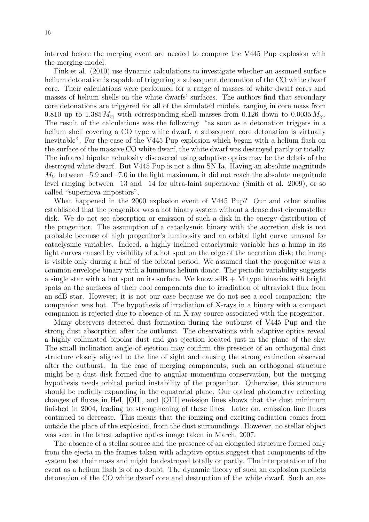interval before the merging event are needed to compare the V445 Pup explosion with the merging model.

Fink et al. (2010) use dynamic calculations to investigate whether an assumed surface helium detonation is capable of triggering a subsequent detonation of the CO white dwarf core. Their calculations were performed for a range of masses of white dwarf cores and masses of helium shells on the white dwarfs' surfaces. The authors find that secondary core detonations are triggered for all of the simulated models, ranging in core mass from 0.810 up to 1.385  $M_{\odot}$  with corresponding shell masses from 0.126 down to 0.0035  $M_{\odot}$ . The result of the calculations was the following: "as soon as a detonation triggers in a helium shell covering a CO type white dwarf, a subsequent core detonation is virtually inevitable". For the case of the V445 Pup explosion which began with a helium flash on the surface of the massive CO white dwarf, the white dwarf was destroyed partly or totally. The infrared bipolar nebulosity discovered using adaptive optics may be the debris of the destroyed white dwarf. But V445 Pup is not a dim SN Ia. Having an absolute magnitude  $M_V$  between –5.9 and –7.0 in the light maximum, it did not reach the absolute magnitude level ranging between –13 and –14 for ultra-faint supernovae (Smith et al. 2009), or so called "supernova impostors".

What happened in the 2000 explosion event of V445 Pup? Our and other studies established that the progenitor was a hot binary system without a dense dust circumstellar disk. We do not see absorption or emission of such a disk in the energy distribution of the progenitor. The assumption of a cataclysmic binary with the accretion disk is not probable because of high progenitor's luminosity and an orbital light curve unusual for cataclysmic variables. Indeed, a highly inclined cataclysmic variable has a hump in its light curves caused by visibility of a hot spot on the edge of the accretion disk; the hump is visible only during a half of the orbital period. We assumed that the progenitor was a common envelope binary with a luminous helium donor. The periodic variability suggests a single star with a hot spot on its surface. We know  $sdB + M$  type binaries with bright spots on the surfaces of their cool components due to irradiation of ultraviolet flux from an sdB star. However, it is not our case because we do not see a cool companion: the companion was hot. The hypothesis of irradiation of X-rays in a binary with a compact companion is rejected due to absence of an X-ray source associated with the progenitor.

Many observers detected dust formation during the outburst of V445 Pup and the strong dust absorption after the outburst. The observations with adaptive optics reveal a highly collimated bipolar dust and gas ejection located just in the plane of the sky. The small inclination angle of ejection may confirm the presence of an orthogonal dust structure closely aligned to the line of sight and causing the strong extinction observed after the outburst. In the case of merging components, such an orthogonal structure might be a dust disk formed due to angular momentum conservation, but the merging hypothesis needs orbital period instability of the progenitor. Otherwise, this structure should be radially expanding in the equatorial plane. Our optical photometry reflecting changes of fluxes in HeI, [OII], and [OIII] emission lines shows that the dust minimum finished in 2004, leading to strengthening of these lines. Later on, emission line fluxes continued to decrease. This means that the ionizing and exciting radiation comes from outside the place of the explosion, from the dust surroundings. However, no stellar object was seen in the latest adaptive optics image taken in March, 2007.

The absence of a stellar source and the presence of an elongated structure formed only from the ejecta in the frames taken with adaptive optics suggest that components of the system lost their mass and might be destroyed totally or partly. The interpretation of the event as a helium flash is of no doubt. The dynamic theory of such an explosion predicts detonation of the CO white dwarf core and destruction of the white dwarf. Such an ex-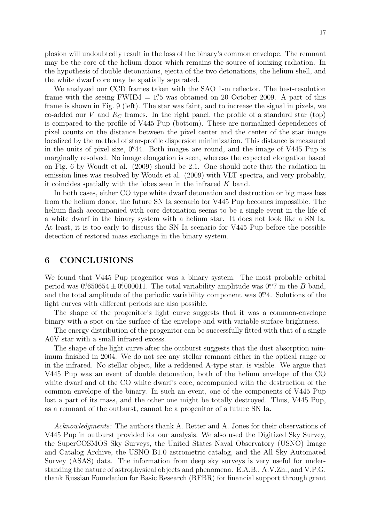We analyzed our CCD frames taken with the SAO 1-m reflector. The best-resolution frame with the seeing  $FWHM = 1\%$  was obtained on 20 October 2009. A part of this frame is shown in Fig. 9 (left). The star was faint, and to increase the signal in pixels, we co-added our V and  $R_C$  frames. In the right panel, the profile of a standard star (top) is compared to the profile of V445 Pup (bottom). These are normalized dependences of pixel counts on the distance between the pixel center and the center of the star image localized by the method of star-profile dispersion minimization. This distance is measured in the units of pixel size, 0. 44. Both images are round, and the image of V445 Pup is marginally resolved. No image elongation is seen, whereas the expected elongation based on Fig. 6 by Woudt et al. (2009) should be 2:1. One should note that the radiation in emission lines was resolved by Woudt et al. (2009) with VLT spectra, and very probably, it coincides spatially with the lobes seen in the infrared K band.

In both cases, either CO type white dwarf detonation and destruction or big mass loss from the helium donor, the future SN Ia scenario for V445 Pup becomes impossible. The helium flash accompanied with core detonation seems to be a single event in the life of a white dwarf in the binary system with a helium star. It does not look like a SN Ia. At least, it is too early to discuss the SN Ia scenario for V445 Pup before the possible detection of restored mass exchange in the binary system.

## 6 CONCLUSIONS

We found that V445 Pup progenitor was a binary system. The most probable orbital period was  $0.01650654 \pm 0.000011$ . The total variability amplitude was  $0.7$  in the B band, and the total amplitude of the periodic variability component was  $0<sup>m</sup>4$ . Solutions of the light curves with different periods are also possible.

The shape of the progenitor's light curve suggests that it was a common-envelope binary with a spot on the surface of the envelope and with variable surface brightness.

The energy distribution of the progenitor can be successfully fitted with that of a single A0V star with a small infrared excess.

The shape of the light curve after the outburst suggests that the dust absorption minimum finished in 2004. We do not see any stellar remnant either in the optical range or in the infrared. No stellar object, like a reddened A-type star, is visible. We argue that V445 Pup was an event of double detonation, both of the helium envelope of the CO white dwarf and of the CO white dwarf's core, accompanied with the destruction of the common envelope of the binary. In such an event, one of the components of V445 Pup lost a part of its mass, and the other one might be totally destroyed. Thus, V445 Pup, as a remnant of the outburst, cannot be a progenitor of a future SN Ia.

Acknowledgments: The authors thank A. Retter and A. Jones for their observations of V445 Pup in outburst provided for our analysis. We also used the Digitized Sky Survey, the SuperCOSMOS Sky Surveys, the United States Naval Observatory (USNO) Image and Catalog Archive, the USNO B1.0 astrometric catalog, and the All Sky Automated Survey (ASAS) data. The information from deep sky surveys is very useful for understanding the nature of astrophysical objects and phenomena. E.A.B., A.V.Zh., and V.P.G. thank Russian Foundation for Basic Research (RFBR) for financial support through grant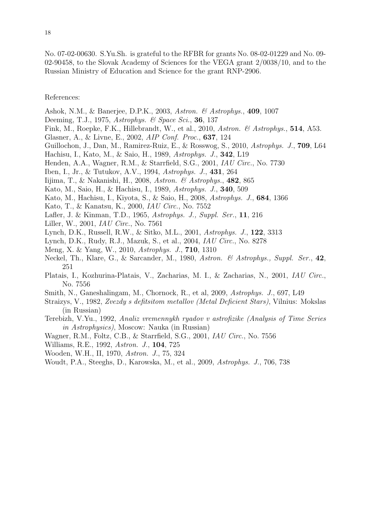No. 07-02-00630. S.Yu.Sh. is grateful to the RFBR for grants No. 08-02-01229 and No. 09- 02-90458, to the Slovak Academy of Sciences for the VEGA grant 2/0038/10, and to the Russian Ministry of Education and Science for the grant RNP-2906.

#### References:

- Ashok, N.M., & Banerjee, D.P.K., 2003, Astron. & Astrophys., 409, 1007
- Deeming, T.J., 1975, Astrophys. & Space Sci., 36, 137
- Fink, M., Roepke, F.K., Hillebrandt, W., et al., 2010, Astron. & Astrophys., 514, A53.
- Glasner, A., & Livne, E., 2002, AIP Conf. Proc., 637, 124
- Guillochon, J., Dan, M., Ramirez-Ruiz, E., & Rosswog, S., 2010, Astrophys. J., 709, L64
- Hachisu, I., Kato, M., & Saio, H., 1989, Astrophys. J., 342, L19
- Henden, A.A., Wagner, R.M., & Starrfield, S.G., 2001, IAU Circ., No. 7730
- Iben, I., Jr., & Tutukov, A.V., 1994, Astrophys. J., 431, 264
- Iijima, T., & Nakanishi, H., 2008, Astron. & Astrophys., 482, 865
- Kato, M., Saio, H., & Hachisu, I., 1989, Astrophys. J., 340, 509
- Kato, M., Hachisu, I., Kiyota, S., & Saio, H., 2008, Astrophys. J., 684, 1366
- Kato, T., & Kanatsu, K., 2000, IAU Circ., No. 7552
- Lafler, J. & Kinman, T.D., 1965, Astrophys. J., Suppl. Ser., 11, 216
- Liller, W., 2001, IAU Circ., No. 7561
- Lynch, D.K., Russell, R.W., & Sitko, M.L., 2001, Astrophys. J., 122, 3313
- Lynch, D.K., Rudy, R.J., Mazuk, S., et al., 2004, IAU Circ., No. 8278
- Meng, X. & Yang, W., 2010, Astrophys. J., 710, 1310
- Neckel, Th., Klare, G., & Sarcander, M., 1980, Astron. & Astrophys., Suppl. Ser., 42, 251
- Platais, I., Kozhurina-Platais, V., Zacharias, M. I., & Zacharias, N., 2001, IAU Circ., No. 7556
- Smith, N., Ganeshalingam, M., Chornock, R., et al, 2009, Astrophys. J., 697, L49
- Straizys, V., 1982, Zvezdy s defitsitom metallov (Metal Deficient Stars), Vilnius: Mokslas (in Russian)
- Terebizh, V.Yu., 1992, Analiz vremennykh ryadov v astrofizike (Analysis of Time Series in Astrophysics), Moscow: Nauka (in Russian)
- Wagner, R.M., Foltz, C.B., & Starrfield, S.G., 2001, IAU Circ., No. 7556
- Williams, R.E., 1992, Astron. J., 104, 725
- Wooden, W.H., II, 1970, Astron. J., 75, 324
- Woudt, P.A., Steeghs, D., Karowska, M., et al., 2009, Astrophys. J., 706, 738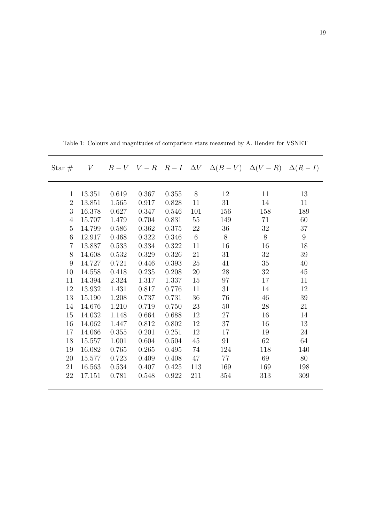| Star $#$       |        |       |       |       |     |     | V $B-V$ $V-R$ $R-I$ $\Delta V$ $\Delta (B-V)$ $\Delta (V-R)$ $\Delta (R-I)$ |        |
|----------------|--------|-------|-------|-------|-----|-----|-----------------------------------------------------------------------------|--------|
| $\mathbf{1}$   | 13.351 | 0.619 | 0.367 | 0.355 | 8   | 12  | 11                                                                          | 13     |
| $\overline{2}$ | 13.851 | 1.565 | 0.917 | 0.828 | 11  | 31  | 14                                                                          | 11     |
| 3              | 16.378 | 0.627 | 0.347 | 0.546 | 101 | 156 | 158                                                                         | 189    |
| 4              | 15.707 | 1.479 | 0.704 | 0.831 | 55  | 149 | 71                                                                          | 60     |
| 5              | 14.799 | 0.586 | 0.362 | 0.375 | 22  | 36  | 32                                                                          | 37     |
| 6              | 12.917 | 0.468 | 0.322 | 0.346 | 6   | 8   | 8                                                                           | 9      |
| $\overline{7}$ | 13.887 | 0.533 | 0.334 | 0.322 | 11  | 16  | 16                                                                          | 18     |
| 8              | 14.608 | 0.532 | 0.329 | 0.326 | 21  | 31  | $32\,$                                                                      | $39\,$ |
| 9              | 14.727 | 0.721 | 0.446 | 0.393 | 25  | 41  | $35\,$                                                                      | 40     |
| 10             | 14.558 | 0.418 | 0.235 | 0.208 | 20  | 28  | 32                                                                          | 45     |
| 11             | 14.394 | 2.324 | 1.317 | 1.337 | 15  | 97  | 17                                                                          | 11     |
| 12             | 13.932 | 1.431 | 0.817 | 0.776 | 11  | 31  | 14                                                                          | 12     |
| 13             | 15.190 | 1.208 | 0.737 | 0.731 | 36  | 76  | 46                                                                          | 39     |
| 14             | 14.676 | 1.210 | 0.719 | 0.750 | 23  | 50  | 28                                                                          | 21     |
| 15             | 14.032 | 1.148 | 0.664 | 0.688 | 12  | 27  | 16                                                                          | 14     |
| 16             | 14.062 | 1.447 | 0.812 | 0.802 | 12  | 37  | 16                                                                          | 13     |
| 17             | 14.066 | 0.355 | 0.201 | 0.251 | 12  | 17  | 19                                                                          | 24     |
| 18             | 15.557 | 1.001 | 0.604 | 0.504 | 45  | 91  | 62                                                                          | 64     |
| 19             | 16.082 | 0.765 | 0.265 | 0.495 | 74  | 124 | 118                                                                         | 140    |
| 20             | 15.577 | 0.723 | 0.409 | 0.408 | 47  | 77  | 69                                                                          | 80     |
| 21             | 16.563 | 0.534 | 0.407 | 0.425 | 113 | 169 | 169                                                                         | 198    |
| 22             | 17.151 | 0.781 | 0.548 | 0.922 | 211 | 354 | 313                                                                         | 309    |
|                |        |       |       |       |     |     |                                                                             |        |

Table 1: Colours and magnitudes of comparison stars measured by A. Henden for VSNET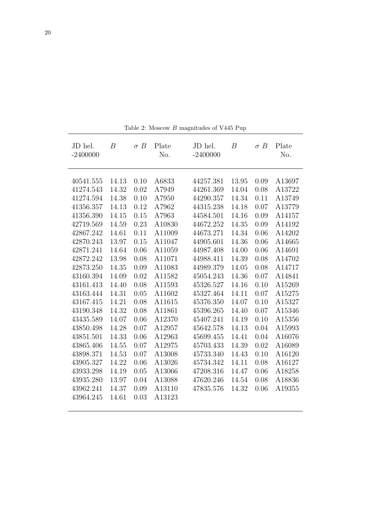| JD hel.<br>$-2400000$                                                                                                                                                 | $\boldsymbol{B}$                                                                                                  | $\sigma B$                                                                                           | Plate<br>No.                                                                                                                   | JD hel.<br>$-2400000$                                                                                                                                                 | $\boldsymbol{B}$                                                                                                  | $\sigma B$                                                                                           | Plate<br>No.                                                                                                                   |
|-----------------------------------------------------------------------------------------------------------------------------------------------------------------------|-------------------------------------------------------------------------------------------------------------------|------------------------------------------------------------------------------------------------------|--------------------------------------------------------------------------------------------------------------------------------|-----------------------------------------------------------------------------------------------------------------------------------------------------------------------|-------------------------------------------------------------------------------------------------------------------|------------------------------------------------------------------------------------------------------|--------------------------------------------------------------------------------------------------------------------------------|
| 40541.555<br>41274.543<br>41274.594<br>41356.357<br>41356.390<br>42719.569<br>42867.242<br>42870.243<br>42871.241<br>42872.242<br>42873.250<br>43160.394<br>43161.413 | 14.13<br>14.32<br>14.38<br>14.13<br>14.15<br>14.59<br>14.61<br>13.97<br>14.64<br>13.98<br>14.35<br>14.09<br>14.40 | 0.10<br>0.02<br>0.10<br>0.12<br>0.15<br>0.23<br>0.11<br>0.15<br>0.06<br>0.08<br>0.09<br>0.02<br>0.08 | A6833<br>A7949<br>A7950<br>A7962<br>A7963<br>A10830<br>A11009<br>A11047<br>A11059<br>A11071<br>A11083<br>A11582<br>A11593      | 44257.381<br>44261.369<br>44290.357<br>44315.238<br>44584.501<br>44672.252<br>44673.271<br>44905.601<br>44987.408<br>44988.411<br>44989.379<br>45054.243<br>45326.527 | 13.95<br>14.04<br>14.34<br>14.18<br>14.16<br>14.35<br>14.34<br>14.36<br>14.00<br>14.39<br>14.05<br>14.36<br>14.16 | 0.09<br>0.08<br>0.11<br>0.07<br>0.09<br>0.09<br>0.06<br>0.06<br>0.06<br>0.08<br>0.08<br>0.07<br>0.10 | A13697<br>A13722<br>A13749<br>A13779<br>A14157<br>A14192<br>A14202<br>A14665<br>A14691<br>A14702<br>A14717<br>A14841<br>A15269 |
| 43163.444<br>43167.415<br>43190.348<br>43435.589<br>43850.498<br>43851.501<br>43865.406<br>43898.371<br>43905.327<br>43933.298<br>43935.280<br>43962.241<br>43964.245 | 14.31<br>14.21<br>14.32<br>14.07<br>14.28<br>14.33<br>14.55<br>14.53<br>14.22<br>14.19<br>13.97<br>14.37<br>14.61 | 0.05<br>0.08<br>0.08<br>0.06<br>0.07<br>0.06<br>0.07<br>0.07<br>0.06<br>0.05<br>0.04<br>0.09<br>0.03 | A11602<br>A11615<br>A11861<br>A12370<br>A12957<br>A12963<br>A12975<br>A13008<br>A13026<br>A13066<br>A13088<br>A13110<br>A13123 | 45327.464<br>45376.350<br>45396.265<br>45407.241<br>45642.578<br>45699.455<br>45703.433<br>45733.340<br>45734.342<br>47208.316<br>47620.246<br>47835.576              | 14.11<br>14.07<br>14.40<br>14.19<br>14.13<br>14.41<br>14.39<br>14.43<br>14.11<br>14.47<br>14.54<br>14.32          | 0.07<br>0.10<br>0.07<br>0.10<br>0.04<br>0.04<br>0.02<br>0.10<br>0.08<br>0.06<br>0.08<br>0.06         | A15275<br>A15327<br>A15346<br>A15356<br>A15993<br>A16076<br>A16089<br>A16120<br>A16127<br>A18258<br>A18836<br>A19355           |

Table 2: Moscow $B$  magnitudes of  $\rm V445$  Pup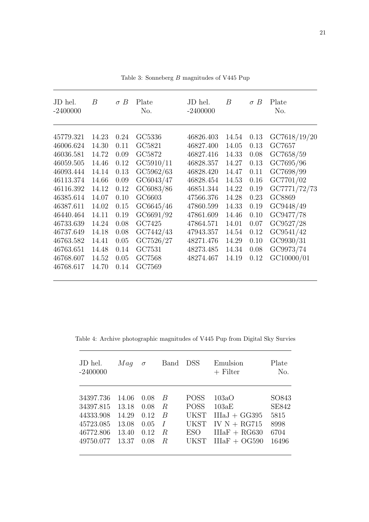| JD hel.<br>$-2400000$ | B     | $\sigma B$ | Plate<br>No. | JD hel.<br>$-2400000$ | B     | $\sigma B$ | Plate<br>No. |
|-----------------------|-------|------------|--------------|-----------------------|-------|------------|--------------|
| 45779.321             | 14.23 | 0.24       | GC5336       | 46826.403             | 14.54 | 0.13       | GC7618/19/20 |
| 46006.624             | 14.30 | 0.11       | GC5821       | 46827.400             | 14.05 | 0.13       | GC7657       |
| 46036.581             | 14.72 | 0.09       | GC5872       | 46827.416             | 14.33 | 0.08       | GC7658/59    |
| 46059.505             | 14.46 | 0.12       | GC5910/11    | 46828.357             | 14.27 | 0.13       | GC7695/96    |
| 46093.444             | 14.14 | 0.13       | GC5962/63    | 46828.420             | 14.47 | 0.11       | GC7698/99    |
| 46113.374             | 14.66 | 0.09       | GC6043/47    | 46828.454             | 14.53 | 0.16       | GC7701/02    |
| 46116.392             | 14.12 | 0.12       | GC6083/86    | 46851.344             | 14.22 | 0.19       | GC7771/72/73 |
| 46385.614             | 14.07 | 0.10       | GC6603       | 47566.376             | 14.28 | 0.23       | GC8869       |
| 46387.611             | 14.02 | 0.15       | GC6645/46    | 47860.599             | 14.33 | 0.19       | GC9448/49    |
| 46440.464             | 14.11 | 0.19       | GC6691/92    | 47861.609             | 14.46 | 0.10       | GC9477/78    |
| 46733.639             | 14.24 | 0.08       | GC7425       | 47864.571             | 14.01 | 0.07       | GC9527/28    |
| 46737.649             | 14.18 | 0.08       | GC7442/43    | 47943.357             | 14.54 | 0.12       | GC9541/42    |
| 46763.582             | 14.41 | 0.05       | GC7526/27    | 48271.476             | 14.29 | 0.10       | GC9930/31    |
| 46763.651             | 14.48 | 0.14       | GC7531       | 48273.485             | 14.34 | 0.08       | GC9973/74    |
| 46768.607             | 14.52 | 0.05       | GC7568       | 48274.467             | 14.19 | 0.12       | GC10000/01   |
| 46768.617             | 14.70 | 0.14       | GC7569       |                       |       |            |              |
|                       |       |            |              |                       |       |            |              |

Table 3: Sonneberg  $B$  magnitudes of V445  $\operatorname{Pup}$ 

Table 4: Archive photographic magnitudes of V445 Pup from Digital Sky Survies

| JD hel.<br>$-2400000$ | Maq   | $\sigma$ | Band | DSS         | Emulsion<br>$+$ Filter | Plate<br>No. |
|-----------------------|-------|----------|------|-------------|------------------------|--------------|
|                       |       |          |      |             |                        |              |
| 34397.736             | 14.06 | 0.08     | B    | <b>POSS</b> | 103aO                  | SO843        |
| 34397.815             | 13.18 | 0.08     | R.   | POSS        | 103aE                  | <b>SE842</b> |
| 44333.908             | 14.29 | 0.12     | B    | UKST        | $IIIaJ + GG395$        | 5815         |
| 45723.085             | 13.08 | 0.05     | I    | UKST        | IV $N + RG715$         | 8998         |
| 46772.806             | 13.40 | 0.12     | R.   | ESO         | $IIIAF + RG630$        | 6704         |
| 49750.077             | 13.37 | 0.08     | R.   | UKST        | $IIIaF + OG590$        | 16496        |
|                       |       |          |      |             |                        |              |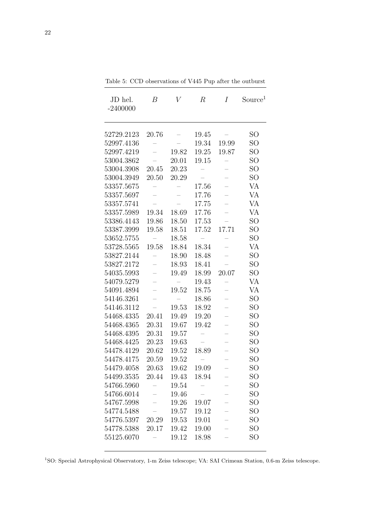| JD hel.<br>$-2400000$ | B     | V     | $\, R$ | Ι     | Source <sup>1</sup> |
|-----------------------|-------|-------|--------|-------|---------------------|
| 52729.2123            | 20.76 |       | 19.45  |       | <b>SO</b>           |
| 52997.4136            |       |       | 19.34  | 19.99 | SO                  |
| 52997.4219            |       | 19.82 | 19.25  | 19.87 | SO                  |
| 53004.3862            |       | 20.01 | 19.15  |       | SO                  |
| 53004.3908            | 20.45 | 20.23 |        |       | SO                  |
| 53004.3949            | 20.50 | 20.29 |        |       | <b>SO</b>           |
| 53357.5675            |       |       | 17.56  |       | VA                  |
| 53357.5697            |       |       | 17.76  |       | <b>VA</b>           |
| 53357.5741            |       |       | 17.75  |       | <b>VA</b>           |
| 53357.5989            | 19.34 | 18.69 | 17.76  |       | VA                  |
| 53386.4143            | 19.86 | 18.50 | 17.53  |       | SO                  |
| 53387.3999            | 19.58 | 18.51 | 17.52  | 17.71 | SO                  |
| 53652.5755            |       | 18.58 |        |       | <b>SO</b>           |
| 53728.5565            | 19.58 | 18.84 | 18.34  |       | VA                  |
| 53827.2144            |       | 18.90 | 18.48  |       | SO                  |
| 53827.2172            |       | 18.93 | 18.41  |       | SO                  |
| 54035.5993            |       | 19.49 | 18.99  | 20.07 | SO                  |
| 54079.5279            |       |       | 19.43  |       | VA                  |
| 54091.4894            |       | 19.52 | 18.75  |       | VA                  |
| 54146.3261            |       |       | 18.86  |       | SO                  |
| 54146.3112            |       | 19.53 | 18.92  |       | SO                  |
| 54468.4335            | 20.41 | 19.49 | 19.20  |       | SO                  |
| 54468.4365            | 20.31 | 19.67 | 19.42  | -     | SO                  |
| 54468.4395            | 20.31 | 19.57 |        |       | <b>SO</b>           |
| 54468.4425            | 20.23 | 19.63 |        |       | SO                  |
| 54478.4129            | 20.62 | 19.52 | 18.89  |       | SO                  |
| 54478.4175            | 20.59 | 19.52 |        |       | <b>SO</b>           |
| 54479.4058            | 20.63 | 19.62 | 19.09  |       | SO <sub>1</sub>     |
| 54499.3535            | 20.44 | 19.43 | 18.94  |       | SO                  |
| 54766.5960            |       | 19.54 |        |       | <b>SO</b>           |
| 54766.6014            |       | 19.46 |        |       | SO                  |
| 54767.5998            |       | 19.26 | 19.07  |       | SO                  |
| 54774.5488            |       | 19.57 | 19.12  |       | SO <sub></sub>      |
| 54776.5397            | 20.29 | 19.53 | 19.01  |       | <b>SO</b>           |
| 54778.5388            | 20.17 | 19.42 | 19.00  |       | SO                  |
| 55125.6070            |       | 19.12 | 18.98  |       | SO                  |

Table 5: CCD observations of V445 Pup after the outburst

<sup>1</sup>SO: Special Astrophysical Observatory, 1-m Zeiss telescope; VA: SAI Crimean Station, 0.6-m Zeiss telescope.